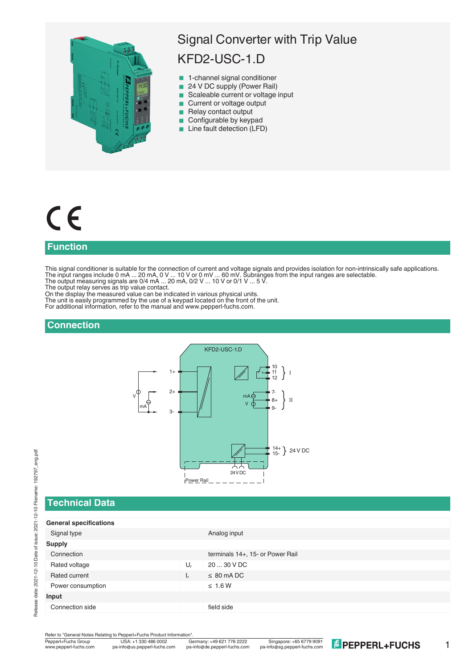

# Signal Converter with Trip Value

# KFD2-USC-1.D

- 1-channel signal conditioner
- 24 V DC supply (Power Rail)
- Scaleable current or voltage input
- Current or voltage output
- Relay contact output
- $\Box$  Configurable by keypad
- Line fault detection (LFD)



#### **Function**

This signal conditioner is suitable for the connection of current and voltage signals and provides isolation for non-intrinsically safe applications. The input ranges include 0 mA ... 20 mA, 0 V ... 10 V or 0 mV ... 60 mV. Subranges from the input ranges are selectable. The output measuring signals are 0/4 mA ... 20 mA, 0/2 V ... 10 V or 0/1 V ... 5 V.

The output relay serves as trip value contact.

On the display the measured value can be indicated in various physical units. The unit is easily programmed by the use of a keypad located on the front of the unit.

For additional information, refer to the manual and www.pepperl-fuchs.com.

### **Connection**



### **Technical Data**

| <b>General specifications</b> |                |                                  |
|-------------------------------|----------------|----------------------------------|
| Signal type                   |                | Analog input                     |
| <b>Supply</b>                 |                |                                  |
| Connection                    |                | terminals 14+, 15- or Power Rail |
| Rated voltage                 | $U_r$          | 20  30 V DC                      |
| Rated current                 | 1 <sub>r</sub> | $\leq 80$ mA DC                  |
| Power consumption             |                | $\leq 1.6$ W                     |
| Input                         |                |                                  |
| Connection side               |                | field side                       |

Refer to "General Notes Relating to Pepperl+Fuchs Product Information"<br>Pepperl+Fuchs Group. USA: +1 330 486 0002 C

1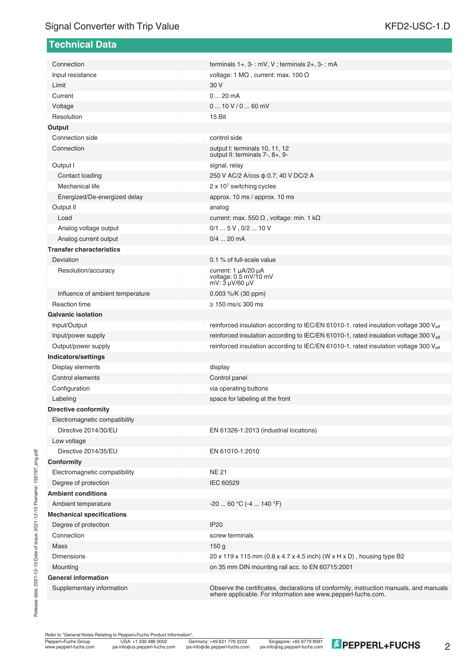| <b>Technical Data</b>            |                                                                                      |
|----------------------------------|--------------------------------------------------------------------------------------|
| Connection                       | terminals $1+$ , $3-$ : mV, V; terminals $2+$ , $3-$ : mA                            |
| Input resistance                 | voltage: 1 M $\Omega$ , current: max. 100 $\Omega$                                   |
| Limit                            | 30 V                                                                                 |
| Current                          | 020mA                                                                                |
| Voltage                          | $0 \dots 10 V / 0 \dots 60 mV$                                                       |
| Resolution                       | 15 Bit                                                                               |
| Output                           |                                                                                      |
| Connection side                  | control side                                                                         |
| Connection                       | output I: terminals 10, 11, 12<br>output II: terminals 7-, 8+, 9-                    |
| Output I                         | signal, relay                                                                        |
| Contact loading                  | 250 V AC/2 A/cos φ 0.7; 40 V DC/2 A                                                  |
| Mechanical life                  | 2 x 10 <sup>7</sup> switching cycles                                                 |
| Energized/De-energized delay     | approx. 10 ms / approx. 10 ms                                                        |
| Output II                        | analog                                                                               |
| Load                             | current: max. 550 $\Omega$ , voltage: min. 1 k $\Omega$                              |
| Analog voltage output            | $0/1$ $5$ V, $0/2$ 10 V                                                              |
| Analog current output            | $0/4$ 20 mA                                                                          |
| <b>Transfer characteristics</b>  |                                                                                      |
| Deviation                        | 0.1 % of full-scale value                                                            |
| Resolution/accuracy              | current: 1 µA/20 µA<br>voltage: 0.5 mV/10 mV<br>mV: $3 \mu V/60 \mu V$               |
| Influence of ambient temperature | 0.003 %/K (30 ppm)                                                                   |
| <b>Reaction time</b>             | $\geq 150$ ms/ $\leq 300$ ms                                                         |
| <b>Galvanic isolation</b>        |                                                                                      |
| Input/Output                     | reinforced insulation according to IEC/EN 61010-1, rated insulation voltage 300 Veff |
| Input/power supply               | reinforced insulation according to IEC/EN 61010-1, rated insulation voltage 300 Veff |
| Output/power supply              | reinforced insulation according to IEC/EN 61010-1, rated insulation voltage 300 Veff |
| Indicators/settings              |                                                                                      |
| Display elements                 | display                                                                              |
| Control elements                 | Control panel                                                                        |
| Configuration                    | via operating buttons                                                                |
| Labeling                         | space for labeling at the front                                                      |
| <b>Directive conformity</b>      |                                                                                      |
| Electromagnetic compatibility    |                                                                                      |
| Directive 2014/30/EU             | EN 61326-1:2013 (industrial locations)                                               |
| Low voltage                      |                                                                                      |
| Directive 2014/35/EU             | EN 61010-1:2010                                                                      |
| Conformity                       |                                                                                      |
| Electromagnetic compatibility    | <b>NE21</b>                                                                          |
| Degree of protection             | IEC 60529                                                                            |
| <b>Ambient conditions</b>        |                                                                                      |
| Ambient temperature              | $-2060 °C (-4140 °F)$                                                                |
| <b>Mechanical specifications</b> |                                                                                      |
| Degree of protection             | <b>IP20</b>                                                                          |
| Connection                       | screw terminals                                                                      |
| Mass                             | 150 g                                                                                |
| <b>Dimensions</b>                | 20 x 119 x 115 mm (0.8 x 4.7 x 4.5 inch) (W x H x D), housing type B2                |
| Mounting                         | on 35 mm DIN mounting rail acc. to EN 60715:2001                                     |

#### **General information**

Supplementary information Observe the certificates, declarations of conformity, instruction manuals, and manuals where applicable. For information see www.pepperl-fuchs.com.

Refer to "General Notes Relating to Pepperl+Fuchs Product Information"

2